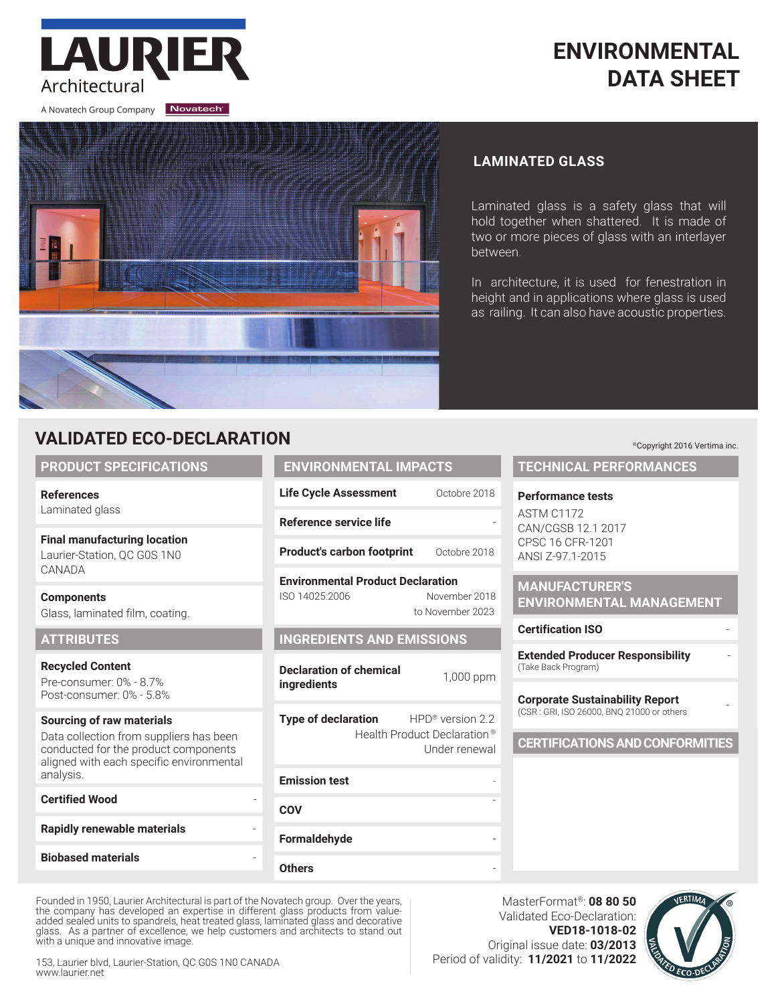# **ENVIRONMENTAL DATA SHEET**

A Novatech Group Company Novatech

Architectural

LAURIE



### **LAMINATED GLASS**

Laminated glass is a safety glass that will hold together when shattered. It is made of two or more pieces of glass with an interlayer between.

In architecture, it is used for fenestration in height and in applications where glass is used as railing. It can also have acoustic properties.

## **VALIDATED ECO-DECLARATION**

#### **PRODUCT SPECIFICATIONS**

**References** Laminated glass

**Final manufacturing location** Laurier-Station, QC G0S 1N0 CANADA

**Components**  Glass, laminated film, coating.

#### **ATTRIBUTES**

**Recycled Content** Pre-consumer: 0% - 8.7% Post-consumer: 0% - 5.8%

#### **Sourcing of raw materials**

Data collection from suppliers has been conducted for the product components aligned with each specific environmental analysis.

#### **Certified Wood**

## **Rapidly renewable materials** -

**Biobased materials** -

## **ENVIRONMENTAL IMPACTS** Life Cycle Assessment Octobre 2018

**Reference service life** -

**Product's carbon footprint** Octobre 2018

**Environmental Product Declaration** ISO 14025:2006 November 2018 to November 2023

### **INGREDIENTS AND EMISSIONS**

**Declaration of chemical ingredients internet interval** 1,000 ppm

**Type of declaration** HPD<sup>®</sup> version 2.2 Health Product Declaration ® Under renewal

# **Emission test COV Formaldehyde**

**Others** -

Founded in 1950, Laurier Architectural is part of the Novatech group. Over the years, the company has developed an expertise in different glass products from valueadded sealed units to spandrels, heat treated glass, laminated glass and decorative glass. As a partner of excellence, we help customers and architects to stand out with a unique and innovative image.

153, Laurier blvd, Laurier-Station, QC G0S 1N0 CANADA www.laurier.net

MasterFormat®: **08 80 50** Validated Eco-Declaration: **VED18-1018-02** Original issue date: **03/2013** Period of validity: **11/2021** to **11/2022**

-



### ©Copyright 2016 Vertima inc.

#### **TECHNICAL PERFORMANCES**

#### **Performance tests**

ASTM C1172 CAN/CGSB 12.1 2017 CPSC 16 CFR-1201 ANSI Z-97.1-2015

**MANUFACTURER'S ENVIRONMENTAL MANAGEMENT**

#### **Certification ISO** -

**Extended Producer Responsibility** - (Take Back Program)

#### **Corporate Sustainability Report** (CSR : GRI, ISO 26000, BNQ 21000 or others -

#### **CERTIFICATIONS AND CONFORMITIES**